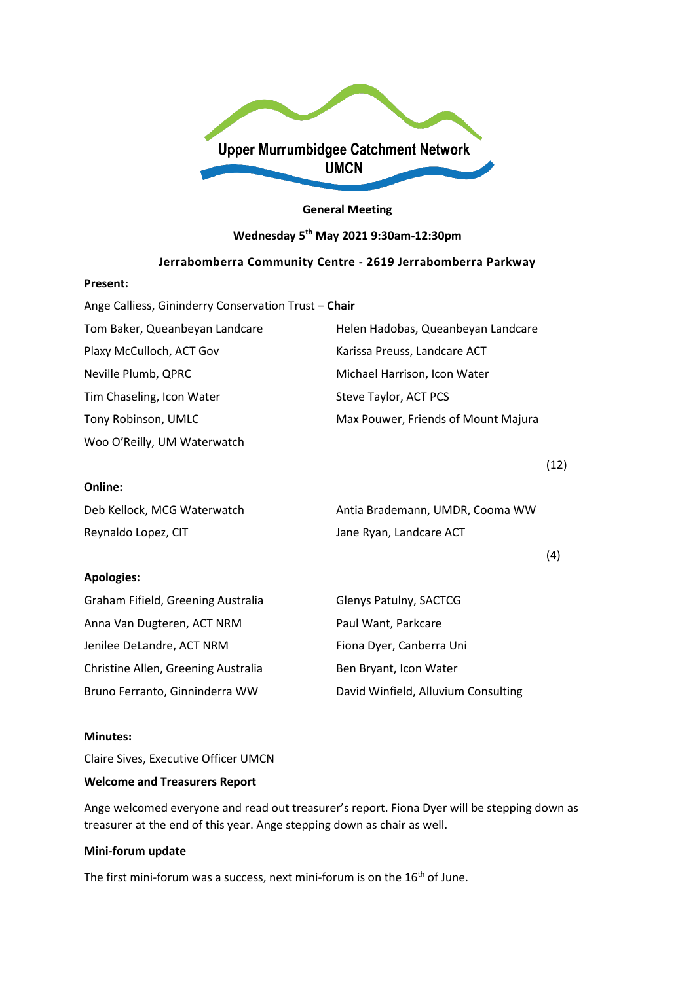

#### **General Meeting**

#### **Wednesday 5th May 2021 9:30am-12:30pm**

## **Jerrabomberra Community Centre - 2619 Jerrabomberra Parkway**

#### **Present:**

| Ange Calliess, Gininderry Conservation Trust - Chair |                                     |  |
|------------------------------------------------------|-------------------------------------|--|
| Tom Baker, Queanbeyan Landcare                       | Helen Hadobas, Queanbeyan Landcare  |  |
| Plaxy McCulloch, ACT Gov                             | Karissa Preuss, Landcare ACT        |  |
| Neville Plumb, QPRC                                  | Michael Harrison, Icon Water        |  |
| Tim Chaseling, Icon Water                            | Steve Taylor, ACT PCS               |  |
| Tony Robinson, UMLC                                  | Max Pouwer, Friends of Mount Majura |  |
| Woo O'Reilly, UM Waterwatch                          |                                     |  |

#### **Online:**

| Deb Kellock, MCG Waterwatch | Antia Brademann, UMDR, Cooma WW |
|-----------------------------|---------------------------------|
| Reynaldo Lopez, CIT         | Jane Ryan, Landcare ACT         |

## **Apologies:**

| Graham Fifield, Greening Australia  | Glenys Patulny, SACTCG              |
|-------------------------------------|-------------------------------------|
| Anna Van Dugteren, ACT NRM          | Paul Want, Parkcare                 |
| Jenilee DeLandre, ACT NRM           | Fiona Dyer, Canberra Uni            |
| Christine Allen, Greening Australia | Ben Bryant, Icon Water              |
| Bruno Ferranto, Ginninderra WW      | David Winfield, Alluvium Consulting |

#### **Minutes:**

Claire Sives, Executive Officer UMCN

#### **Welcome and Treasurers Report**

Ange welcomed everyone and read out treasurer's report. Fiona Dyer will be stepping down as treasurer at the end of this year. Ange stepping down as chair as well.

## **Mini-forum update**

The first mini-forum was a success, next mini-forum is on the 16<sup>th</sup> of June.

(12)

(4)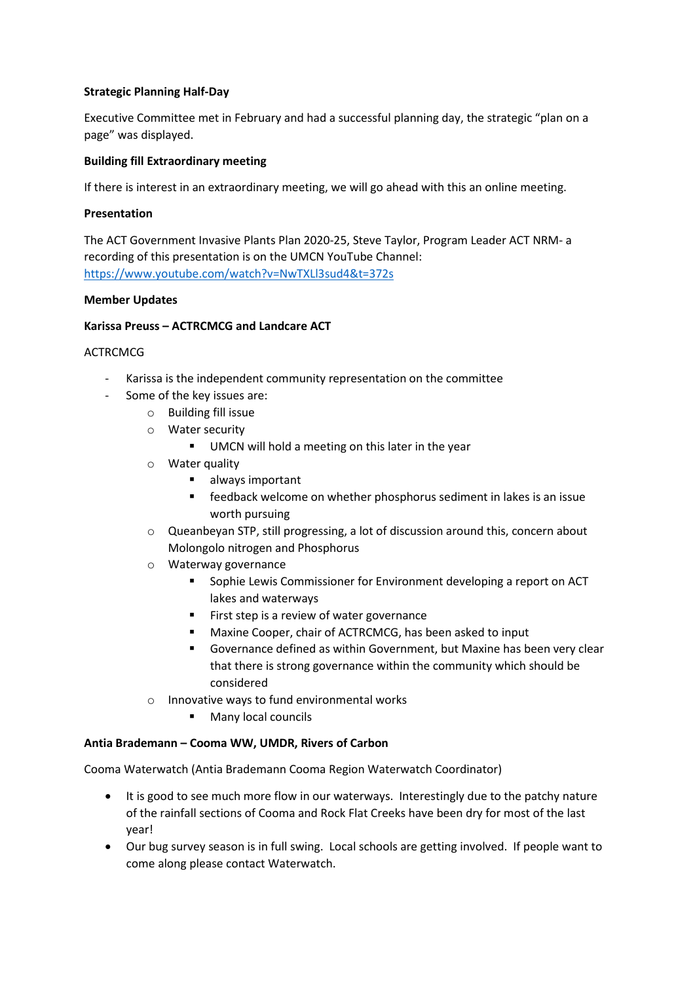## **Strategic Planning Half-Day**

Executive Committee met in February and had a successful planning day, the strategic "plan on a page" was displayed.

## **Building fill Extraordinary meeting**

If there is interest in an extraordinary meeting, we will go ahead with this an online meeting.

## **Presentation**

The ACT Government Invasive Plants Plan 2020-25, Steve Taylor, Program Leader ACT NRM- a recording of this presentation is on the UMCN YouTube Channel: <https://www.youtube.com/watch?v=NwTXLl3sud4&t=372s>

### **Member Updates**

## **Karissa Preuss – ACTRCMCG and Landcare ACT**

## **ACTRCMCG**

- Karissa is the independent community representation on the committee
- Some of the key issues are:
	- o Building fill issue
	- o Water security
		- **UMCN** will hold a meeting on this later in the year
	- o Water quality
		- **always important**
		- **Facedback welcome on whether phosphorus sediment in lakes is an issue** worth pursuing
	- o Queanbeyan STP, still progressing, a lot of discussion around this, concern about Molongolo nitrogen and Phosphorus
	- o Waterway governance
		- Sophie Lewis Commissioner for Environment developing a report on ACT lakes and waterways
		- First step is a review of water governance
		- Maxine Cooper, chair of ACTRCMCG, has been asked to input
		- Governance defined as within Government, but Maxine has been very clear that there is strong governance within the community which should be considered
	- o Innovative ways to fund environmental works
		- Many local councils

### **Antia Brademann – Cooma WW, UMDR, Rivers of Carbon**

Cooma Waterwatch (Antia Brademann Cooma Region Waterwatch Coordinator)

- It is good to see much more flow in our waterways. Interestingly due to the patchy nature of the rainfall sections of Cooma and Rock Flat Creeks have been dry for most of the last year!
- Our bug survey season is in full swing. Local schools are getting involved. If people want to come along please contact Waterwatch.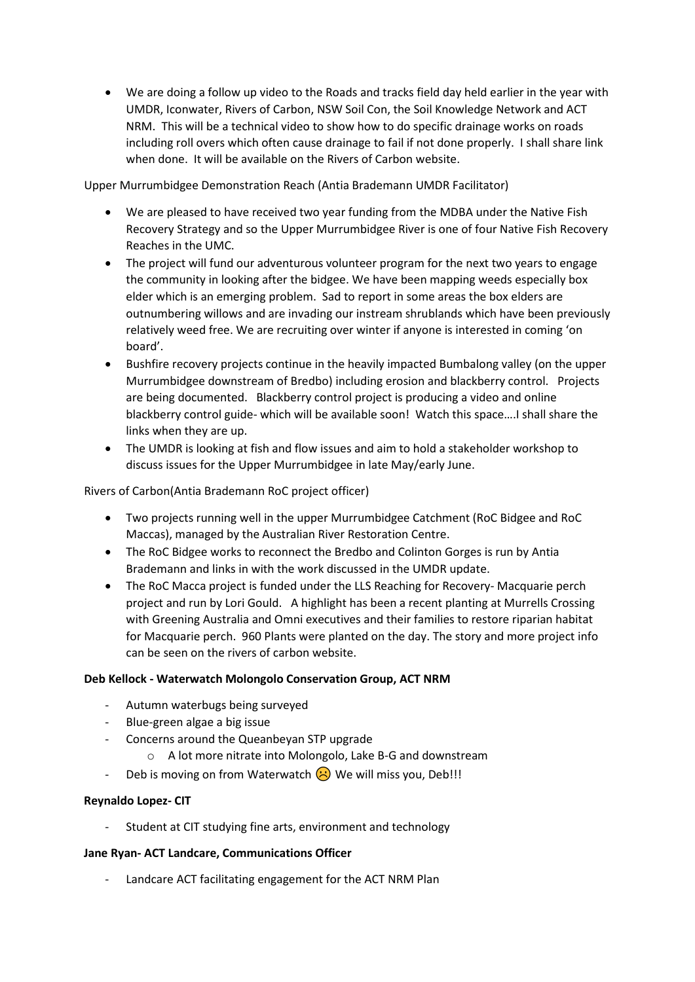• We are doing a follow up video to the Roads and tracks field day held earlier in the year with UMDR, Iconwater, Rivers of Carbon, NSW Soil Con, the Soil Knowledge Network and ACT NRM. This will be a technical video to show how to do specific drainage works on roads including roll overs which often cause drainage to fail if not done properly. I shall share link when done. It will be available on the Rivers of Carbon website.

Upper Murrumbidgee Demonstration Reach (Antia Brademann UMDR Facilitator)

- We are pleased to have received two year funding from the MDBA under the Native Fish Recovery Strategy and so the Upper Murrumbidgee River is one of four Native Fish Recovery Reaches in the UMC.
- The project will fund our adventurous volunteer program for the next two years to engage the community in looking after the bidgee. We have been mapping weeds especially box elder which is an emerging problem. Sad to report in some areas the box elders are outnumbering willows and are invading our instream shrublands which have been previously relatively weed free. We are recruiting over winter if anyone is interested in coming 'on board'.
- Bushfire recovery projects continue in the heavily impacted Bumbalong valley (on the upper Murrumbidgee downstream of Bredbo) including erosion and blackberry control. Projects are being documented. Blackberry control project is producing a video and online blackberry control guide- which will be available soon! Watch this space….I shall share the links when they are up.
- The UMDR is looking at fish and flow issues and aim to hold a stakeholder workshop to discuss issues for the Upper Murrumbidgee in late May/early June.

Rivers of Carbon(Antia Brademann RoC project officer)

- Two projects running well in the upper Murrumbidgee Catchment (RoC Bidgee and RoC Maccas), managed by the Australian River Restoration Centre.
- The RoC Bidgee works to reconnect the Bredbo and Colinton Gorges is run by Antia Brademann and links in with the work discussed in the UMDR update.
- The RoC Macca project is funded under the LLS Reaching for Recovery- Macquarie perch project and run by Lori Gould. A highlight has been a recent planting at Murrells Crossing with Greening Australia and Omni executives and their families to restore riparian habitat for Macquarie perch. 960 Plants were planted on the day. The story and more project info can be seen on the rivers of carbon website.

# **Deb Kellock - Waterwatch Molongolo Conservation Group, ACT NRM**

- Autumn waterbugs being surveyed
- Blue-green algae a big issue
- Concerns around the Queanbeyan STP upgrade
	- o A lot more nitrate into Molongolo, Lake B-G and downstream
- Deb is moving on from Waterwatch  $\bigotimes$  We will miss you, Deb!!!

### **Reynaldo Lopez- CIT**

Student at CIT studying fine arts, environment and technology

### **Jane Ryan- ACT Landcare, Communications Officer**

- Landcare ACT facilitating engagement for the ACT NRM Plan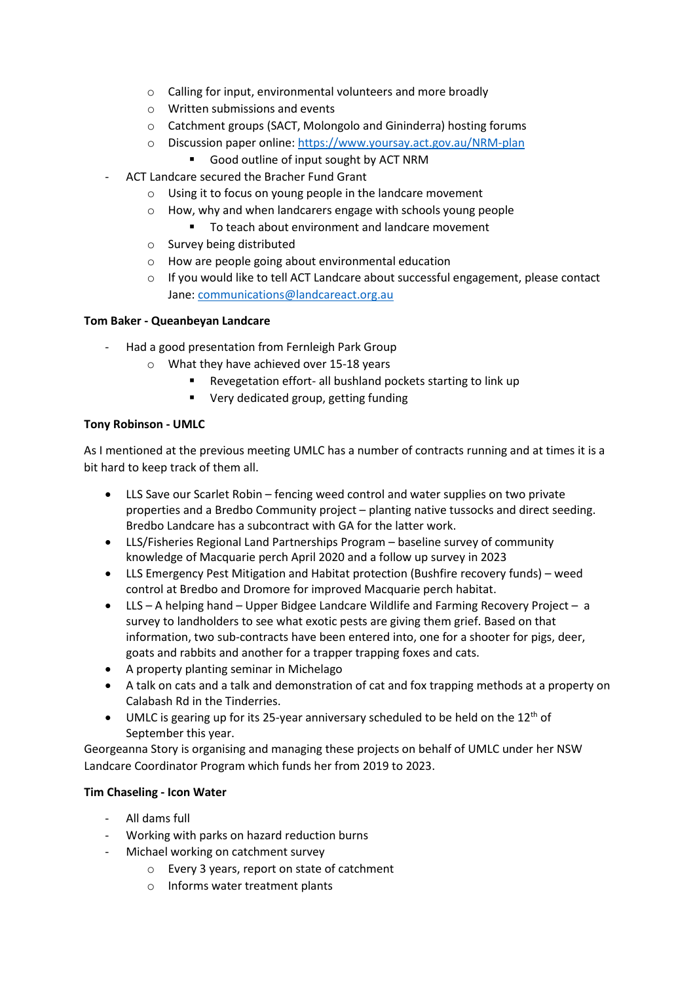- o Calling for input, environmental volunteers and more broadly
- o Written submissions and events
- o Catchment groups (SACT, Molongolo and Gininderra) hosting forums
- o Discussion paper online:<https://www.yoursay.act.gov.au/NRM-plan>
	- Good outline of input sought by ACT NRM
- ACT Landcare secured the Bracher Fund Grant
	- o Using it to focus on young people in the landcare movement
	- o How, why and when landcarers engage with schools young people
		- To teach about environment and landcare movement
	- o Survey being distributed
	- o How are people going about environmental education
	- $\circ$  If you would like to tell ACT Landcare about successful engagement, please contact Jane[: communications@landcareact.org.au](mailto:communications@landcareact.org.au)

## **Tom Baker - Queanbeyan Landcare**

- Had a good presentation from Fernleigh Park Group
	- o What they have achieved over 15-18 years
		- Revegetation effort- all bushland pockets starting to link up
		- **•** Very dedicated group, getting funding

## **Tony Robinson - UMLC**

As I mentioned at the previous meeting UMLC has a number of contracts running and at times it is a bit hard to keep track of them all.

- LLS Save our Scarlet Robin fencing weed control and water supplies on two private properties and a Bredbo Community project – planting native tussocks and direct seeding. Bredbo Landcare has a subcontract with GA for the latter work.
- LLS/Fisheries Regional Land Partnerships Program baseline survey of community knowledge of Macquarie perch April 2020 and a follow up survey in 2023
- LLS Emergency Pest Mitigation and Habitat protection (Bushfire recovery funds) weed control at Bredbo and Dromore for improved Macquarie perch habitat.
- LLS A helping hand Upper Bidgee Landcare Wildlife and Farming Recovery Project a survey to landholders to see what exotic pests are giving them grief. Based on that information, two sub-contracts have been entered into, one for a shooter for pigs, deer, goats and rabbits and another for a trapper trapping foxes and cats.
- A property planting seminar in Michelago
- A talk on cats and a talk and demonstration of cat and fox trapping methods at a property on Calabash Rd in the Tinderries.
- UMLC is gearing up for its 25-year anniversary scheduled to be held on the  $12<sup>th</sup>$  of September this year.

Georgeanna Story is organising and managing these projects on behalf of UMLC under her NSW Landcare Coordinator Program which funds her from 2019 to 2023.

# **Tim Chaseling - Icon Water**

- All dams full
- Working with parks on hazard reduction burns
- Michael working on catchment survey
	- o Every 3 years, report on state of catchment
	- o Informs water treatment plants